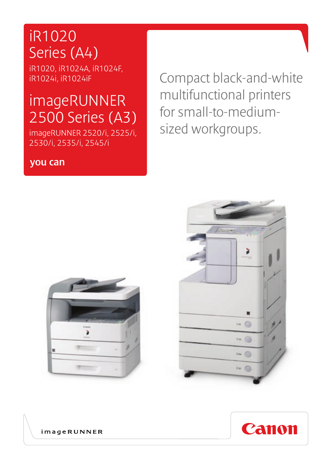## iR1020 Series (A4)

iR1020, iR1024A, iR1024F, iR1024i, iR1024iF

# imageRUNNER 2500 Series (A3)

imageRUNNER 2520/i, 2525/i, 2530/i, 2535/i, 2545/i

### you can

Compact black-and-white multifunctional printers for small-to-mediumsized workgroups.







**imageRUNNER**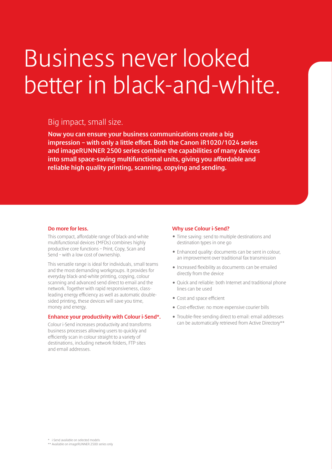# Business never looked better in black-and-white.

### Big impact, small size.

Now you can ensure your business communications create a big impression – with only a little effort. Both the Canon iR1020/1024 series and imageRUNNER 2500 series combine the capabilities of many devices into small space-saving multifunctional units, giving you affordable and reliable high quality printing, scanning, copying and sending.

#### Do more for less.

This compact, affordable range of black-and-white multifunctional devices (MFDs) combines highly productive core functions – Print, Copy, Scan and Send – with a low cost of ownership.

This versatile range is ideal for individuals, small teams and the most demanding workgroups. It provides for everyday black-and-white printing, copying, colour scanning and advanced send direct to email and the network. Together with rapid responsiveness, classleading energy efficiency as well as automatic doublesided printing, these devices will save you time, money and energy.

#### Enhance your productivity with Colour i-Send\*.

Colour i-Send increases productivity and transforms business processes allowing users to quickly and efficiently scan in colour straight to a variety of destinations, including network folders, FTP sites and email addresses.

#### Why use Colour i-Send?

- Time saving: send to multiple destinations and destination types in one go
- Enhanced quality: documents can be sent in colour, an improvement over traditional fax transmission
- Increased flexibility as documents can be emailed directly from the device
- Quick and reliable: both Internet and traditional phone lines can be used
- Cost and space efficient
- Cost-effective: no more expensive courier bills
- Trouble-free sending direct to email: email addresses can be automatically retrieved from Active Directory\*\*

\*\* Available on imageRUNNER 2500 series only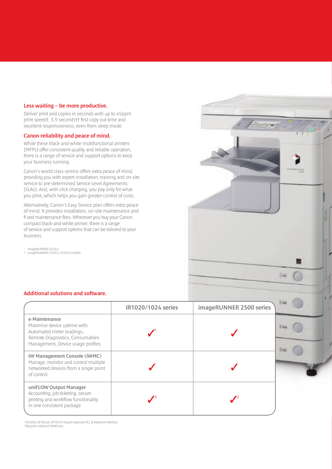#### Less waiting – be more productive.

Deliver print and copies in seconds with up to 45ppm print speed†, 3.9 seconds†† first copy out time and excellent responsiveness, even from sleep mode.

#### Canon reliability and peace of mind.

While these black-and-white multifunctional printers (MFPs) offer consistent quality and reliable operation, there is a range of service and support options to keep your business running.

Canon's world class service offers extra peace of mind, providing you with expert installation, training and on-site service to pre-determined Service Level Agreements (SLAs). And, with click charging, you pay only for what you print, which helps you gain greater control of costs.

Alternatively, Canon's Easy Service plan offers extra peace of mind. It provides installation, on-site maintenance and fi xed maintenance fees. Wherever you buy your Canon compact black-and-white printer, there is a range of service and support options that can be tailored to your business.

† imageRUNNER 2545/i<br>†† imageRUNNER 2535/i, 2545/i models

#### Additional solutions and software.

|                                                                                                                                                    | iR1020/1024 series | imageRUNNER 2500 series |  |
|----------------------------------------------------------------------------------------------------------------------------------------------------|--------------------|-------------------------|--|
| e-Maintenance<br>Maximise device uptime with:<br>Automated meter readings,<br>Remote Diagnostics, Consumables<br>Management, Device usage profiles |                    |                         |  |
| iW Management Console (iWMC)<br>Manage, monitor and control multiple<br>networked devices from a single point<br>of control                        |                    |                         |  |
| uniFLOW Output Manager<br>Accounting, job ticketing, secure<br>printing and workflow functionality<br>in one consistent package                    |                    |                         |  |

**DW** 

1 iR1020, iR1024A, iR1024F require optional PCL & Network Interface 2 Requires optional MIND box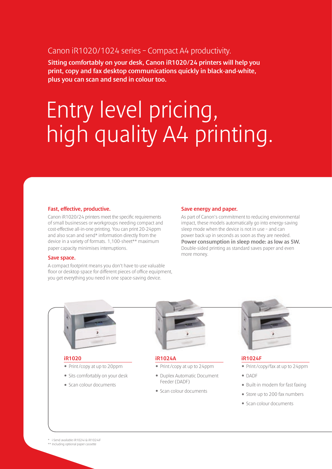### Canon iR1020/1024 series – Compact A4 productivity.

Sitting comfortably on your desk, Canon iR1020/24 printers will help you print, copy and fax desktop communications quickly in black-and-white, plus you can scan and send in colour too.

# Entry level pricing, high quality A4 printing.

#### Fast, effective, productive.

Canon iR1020/24 printers meet the specific requirements of small businesses or workgroups needing compact and cost-effective all-in-one printing. You can print 20-24ppm and also scan and send\* information directly from the device in a variety of formats. 1,100-sheet\*\* maximum paper capacity minimises interruptions.

#### Save space.

A compact footprint means you don't have to use valuable floor or desktop space for different pieces of office equipment, you get everything you need in one space-saving device.

#### Save energy and paper.

As part of Canon's commitment to reducing environmental impact, these models automatically go into energy-saving sleep mode when the device is not in use – and can power back up in seconds as soon as they are needed. Power consumption in sleep mode: as low as 5W. Double-sided printing as standard saves paper and even more money.



#### iR1020

- Print /copy at up to 20ppm
- Sits comfortably on your desk
- Scan colour documents



#### iR1024A

- Print /copy at up to 24ppm
- Duplex Automatic Document Feeder (DADF)
- Scan colour documents





#### iR1024F

- Print /copy/fax at up to 24ppm
- DADF
- Built-in modem for fast faxing
- Store up to 200 fax numbers
- Scan colour documents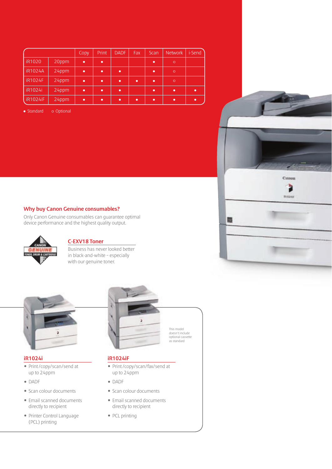|                 |       | <b>Copy</b> | Print     | <b>DADF</b> | Fax | Scan      | Network | i-Send |
|-----------------|-------|-------------|-----------|-------------|-----|-----------|---------|--------|
| iR1020          | 20ppm | ٠           | ٠         |             |     | ∙         | $\circ$ |        |
| <b>iR1024A</b>  | 24ppm |             | ٠         | ٠           |     | ٠         | $\circ$ |        |
| <b>iR1024F</b>  | 24ppm | ٠           | ٠         | n           | ٠   | ٠         | $\circ$ |        |
| iR1024i         | 24ppm | ٠           | $\bullet$ | ٠           |     | $\bullet$ | ٠       | ٠      |
| <b>iR1024iF</b> | 24ppm | ٠           | ٠         | $\bullet$   | ٠   | $\bullet$ | ٠       | ٠      |

o Optional • Standard

#### Why buy Canon Genuine consumables?

Only Canon Genuine consumables can guarantee optimal device performance and the highest quality output.



#### C-EXV18 Toner

Business has never looked better in black-and-white – especially with our genuine toner.



#### iR1024i

- Print /copy/scan/send at up to 24ppm
- DADF
- Scan colour documents
- Email scanned documents directly to recipient
- Printer Control Language (PCL) printing



Canou

**SEASURE** 

蜀

#### iR1024iF

- Print /copy/scan/fax/send at up to 24ppm
- DADF
- Scan colour documents
- Email scanned documents directly to recipient
- PCL printing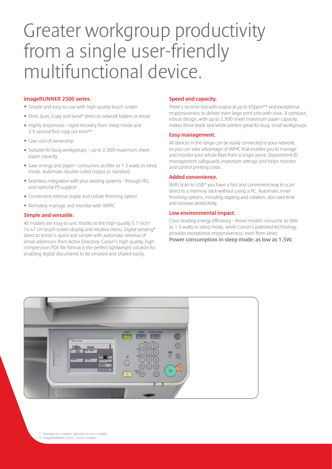# Greater workgroup productivity from a single user-friendly multifunctional device.

#### imageRUNNER 2500 series.

- Simple and easy-to-use with high-quality touch screen
- Print, Scan, Copy and Send\* direct to network folders or email
- Highly responsive rapid recovery from sleep mode and 3.9 second first copy out time\*\*
- Low cost of ownership
- Suitable for busy workgroups up to 2,300 maximum sheet paper capacity
- Save energy and paper consumes as little as 1.5 watts in sleep mode. Automatic double-sided output as standard
- Seamless integration with your existing systems through PCL and optional PS support
- Convenient internal staple and collate finishing option
- Remotely manage and monitor with iWMC

#### Simple and versatile.

All models are easy-to-use, thanks to the high-quality 5.7 inch/ 14.47 cm touch-screen display and intuitive menu. Digital sending\* direct to email is quick and simple with automatic retrieval of email addresses from Active Directory. Canon's high quality, high compression PDF file format is the perfect lightweight solution for enabling digital documents to be emailed and shared easily.

#### Speed and capacity.

There's no time lost with output at up to 45ppm\*\* and exceptional responsiveness to deliver even large print jobs with ease. A compact, robust design, with up to 2,300 sheet maximum paper capacity, makes these black-and-white printers great for busy, small workgroups.

#### Easy management.

All devices in the range can be easily connected to your network, so you can take advantage of iWMC that enables you to manage and monitor your whole fleet from a single point. Department ID management safeguards important settings and helps monitor and control printing costs.

#### Added convenience.

With Scan to USB\* you have a fast and convenient way to scan direct to a memory stick without using a PC. Automatic inner finishing options, including stapling and collation, also save time and increase productivity.

#### Low environmental impact.

Class-leading energy efficiency – these models consume as little as 1.5 watts in sleep mode, while Canon's patented technology provides exceptional responsiveness, even from sleep. Power consumption in sleep mode: as low as 1.5W.

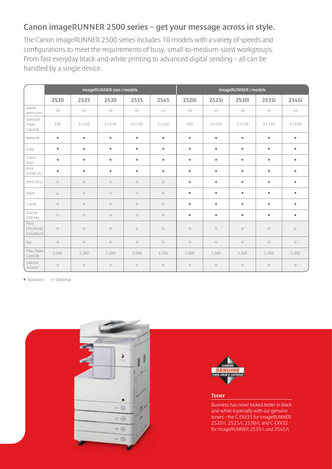## Canon imageRUNNER 2500 series – get your message across in style.

The Canon imageRUNNER 2500 series includes 10 models with a variety of speeds and configurations to meet the requirements of busy, small-to-medium-sized workgroups. From fast everyday black-and-white printing to advanced digital sending – all can be handled by a single device.

|                                    | imageRUNNER non i models |           |           |           |           | imageRUNNER i models |           |           |           |            |
|------------------------------------|--------------------------|-----------|-----------|-----------|-----------|----------------------|-----------|-----------|-----------|------------|
|                                    | 2520                     | 2525      | 2530      | 2535      | 2545      | 2520i                | 2525i     | 2530i     | 2535i     | 2545i      |
| Speed<br>ppm/cpm                   | 20                       | 25        | 30        | 35        | 45        | 20                   | 25        | 30        | 35        | 45         |
| Standard<br>Paper<br>Capacity      | 250                      | 2 x 550   | 2 x 550   | 2 x 550   | 2 x 550   | 250                  | 2x550     | 2 x 550   | 2 x 550   | 2 x 550    |
| Network                            | $\bullet$                | $\bullet$ | $\bullet$ | $\bullet$ | $\bullet$ | $\bullet$            | $\bullet$ | $\bullet$ | $\bullet$ | $\bullet$  |
| Copy                               | $\bullet$                | $\bullet$ | $\bullet$ | $\bullet$ | $\bullet$ | $\bullet$            | $\bullet$ | $\bullet$ | $\bullet$ | $\bullet$  |
| Colour<br>Scan                     | $\bullet$                | $\bullet$ | $\bullet$ | $\bullet$ | $\bullet$ | $\bullet$            | $\bullet$ | $\bullet$ | $\bullet$ | $\bullet$  |
| Print<br>(UFRII-LT)                | $\bullet$                | $\bullet$ | $\bullet$ | $\bullet$ | $\bullet$ | $\bullet$            | $\bullet$ | $\bullet$ | $\bullet$ | $\bullet$  |
| Print (PCL)                        | $\circ$                  | $\circ$   | $\circ$   | $\circ$   | $\circ$   | $\bullet$            | $\bullet$ | $\bullet$ | $\bullet$ | $\bullet$  |
| DADF                               | $\circ$                  | $\circ$   | $\circ$   | $\circ$   | $\circ$   | $\bullet$            | $\bullet$ | $\bullet$ | $\bullet$ | $\bullet$  |
| i-Send                             | $\circ$                  | $\circ$   | $\circ$   | $\circ$   | $\circ$   | $\bullet$            | $\bullet$ | $\bullet$ | $\bullet$ | $\bullet$  |
| Scan to<br>USB Key                 | $\circ$                  | $\circ$   | $\circ$   | $\circ$   | $\circ$   | $\bullet$            | $\bullet$ | $\bullet$ | $\bullet$ | $\bullet$  |
| Print<br>(PostScript<br>Emulation) | $\circ$                  | $\circ$   | $\circ$   | $\circ$   | $\circ$   | $\circ$              | $\circ$   | $\circ$   | $\circ$   | $\bigcirc$ |
| Fax                                | $\circ$                  | $\circ$   | $\circ$   | $\circ$   | $\circ$   | $\circ$              | $\circ$   | $\circ$   | $\circ$   | $\circ$    |
| Max. Paper<br>Capacity             | 2,000                    | 2,300     | 2,300     | 2,300     | 2,300     | 2,000                | 2,300     | 2,300     | 2,300     | 2,300      |
| Internal<br>Finisher               | $\circ$                  | $\circ$   | $\circ$   | $\circ$   | $\circ$   | $\circ$              | $\circ$   | $\circ$   | $\circ$   | $\bigcirc$ |

o Optional • Standard





#### Toner

Business has never looked better in blackand-white especially with our genuine toners – the C-EXV33 for imageRUNNER 2520/i, 2525/i, 2530/i, and C-EXV32 for imageRUNNER 2535/i and 2545/i.